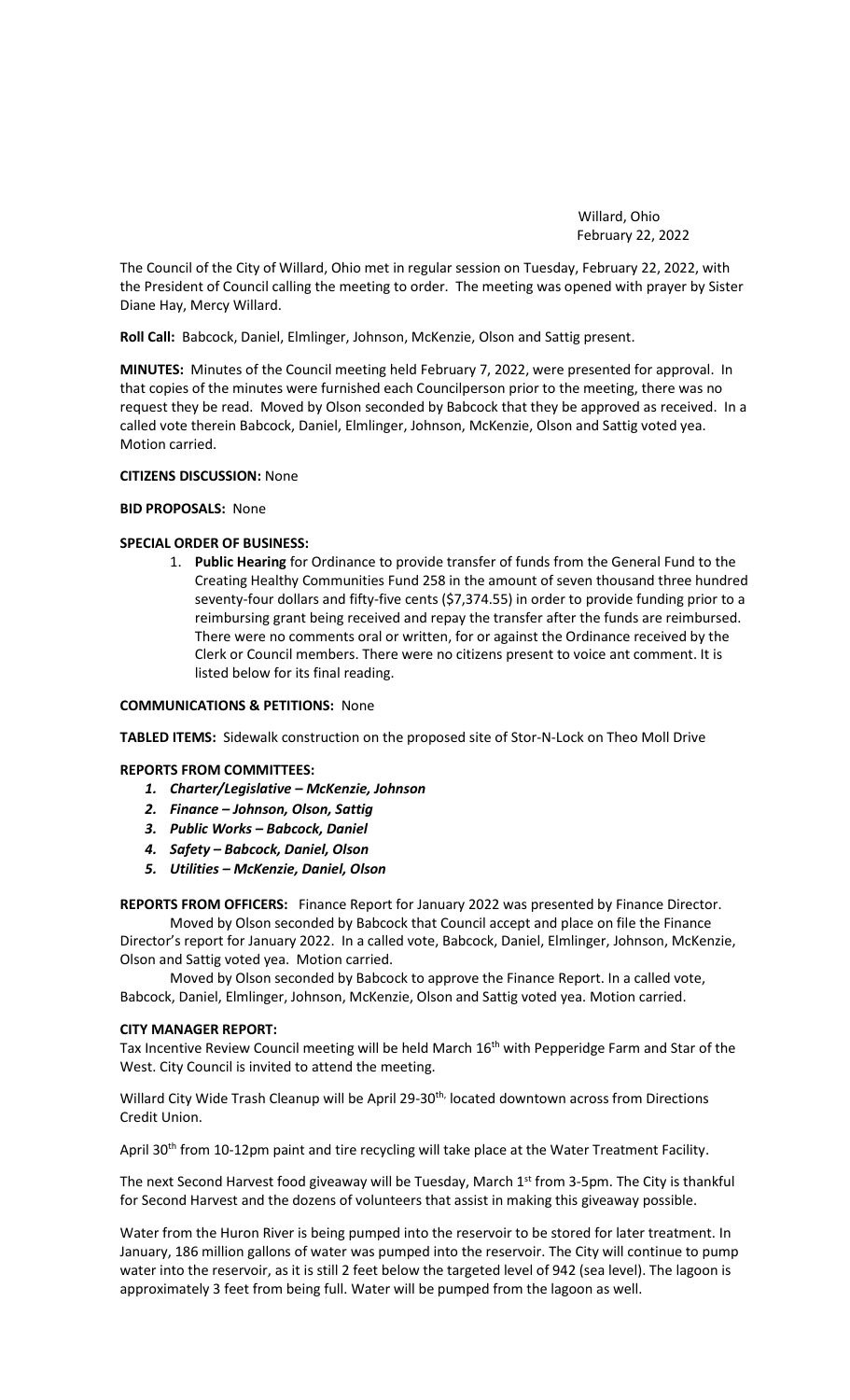Willard, Ohio February 22, 2022

The Council of the City of Willard, Ohio met in regular session on Tuesday, February 22, 2022, with the President of Council calling the meeting to order. The meeting was opened with prayer by Sister Diane Hay, Mercy Willard.

**Roll Call:** Babcock, Daniel, Elmlinger, Johnson, McKenzie, Olson and Sattig present.

**MINUTES:** Minutes of the Council meeting held February 7, 2022, were presented for approval. In that copies of the minutes were furnished each Councilperson prior to the meeting, there was no request they be read. Moved by Olson seconded by Babcock that they be approved as received. In a called vote therein Babcock, Daniel, Elmlinger, Johnson, McKenzie, Olson and Sattig voted yea. Motion carried.

#### **CITIZENS DISCUSSION:** None

## **BID PROPOSALS:** None

## **SPECIAL ORDER OF BUSINESS:**

1. **Public Hearing** for Ordinance to provide transfer of funds from the General Fund to the Creating Healthy Communities Fund 258 in the amount of seven thousand three hundred seventy-four dollars and fifty-five cents (\$7,374.55) in order to provide funding prior to a reimbursing grant being received and repay the transfer after the funds are reimbursed. There were no comments oral or written, for or against the Ordinance received by the Clerk or Council members. There were no citizens present to voice ant comment. It is listed below for its final reading.

## **COMMUNICATIONS & PETITIONS:** None

**TABLED ITEMS:** Sidewalk construction on the proposed site of Stor-N-Lock on Theo Moll Drive

#### **REPORTS FROM COMMITTEES:**

- *1. Charter/Legislative – McKenzie, Johnson*
- *2. Finance – Johnson, Olson, Sattig*
- *3. Public Works – Babcock, Daniel*
- *4. Safety – Babcock, Daniel, Olson*
- *5. Utilities – McKenzie, Daniel, Olson*

**REPORTS FROM OFFICERS:** Finance Report for January 2022 was presented by Finance Director.

Moved by Olson seconded by Babcock that Council accept and place on file the Finance Director's report for January 2022. In a called vote, Babcock, Daniel, Elmlinger, Johnson, McKenzie, Olson and Sattig voted yea. Motion carried.

Moved by Olson seconded by Babcock to approve the Finance Report. In a called vote, Babcock, Daniel, Elmlinger, Johnson, McKenzie, Olson and Sattig voted yea. Motion carried.

#### **CITY MANAGER REPORT:**

Tax Incentive Review Council meeting will be held March 16<sup>th</sup> with Pepperidge Farm and Star of the West. City Council is invited to attend the meeting.

Willard City Wide Trash Cleanup will be April 29-30<sup>th,</sup> located downtown across from Directions Credit Union.

April 30<sup>th</sup> from 10-12pm paint and tire recycling will take place at the Water Treatment Facility.

The next Second Harvest food giveaway will be Tuesday, March 1st from 3-5pm. The City is thankful for Second Harvest and the dozens of volunteers that assist in making this giveaway possible.

Water from the Huron River is being pumped into the reservoir to be stored for later treatment. In January, 186 million gallons of water was pumped into the reservoir. The City will continue to pump water into the reservoir, as it is still 2 feet below the targeted level of 942 (sea level). The lagoon is approximately 3 feet from being full. Water will be pumped from the lagoon as well.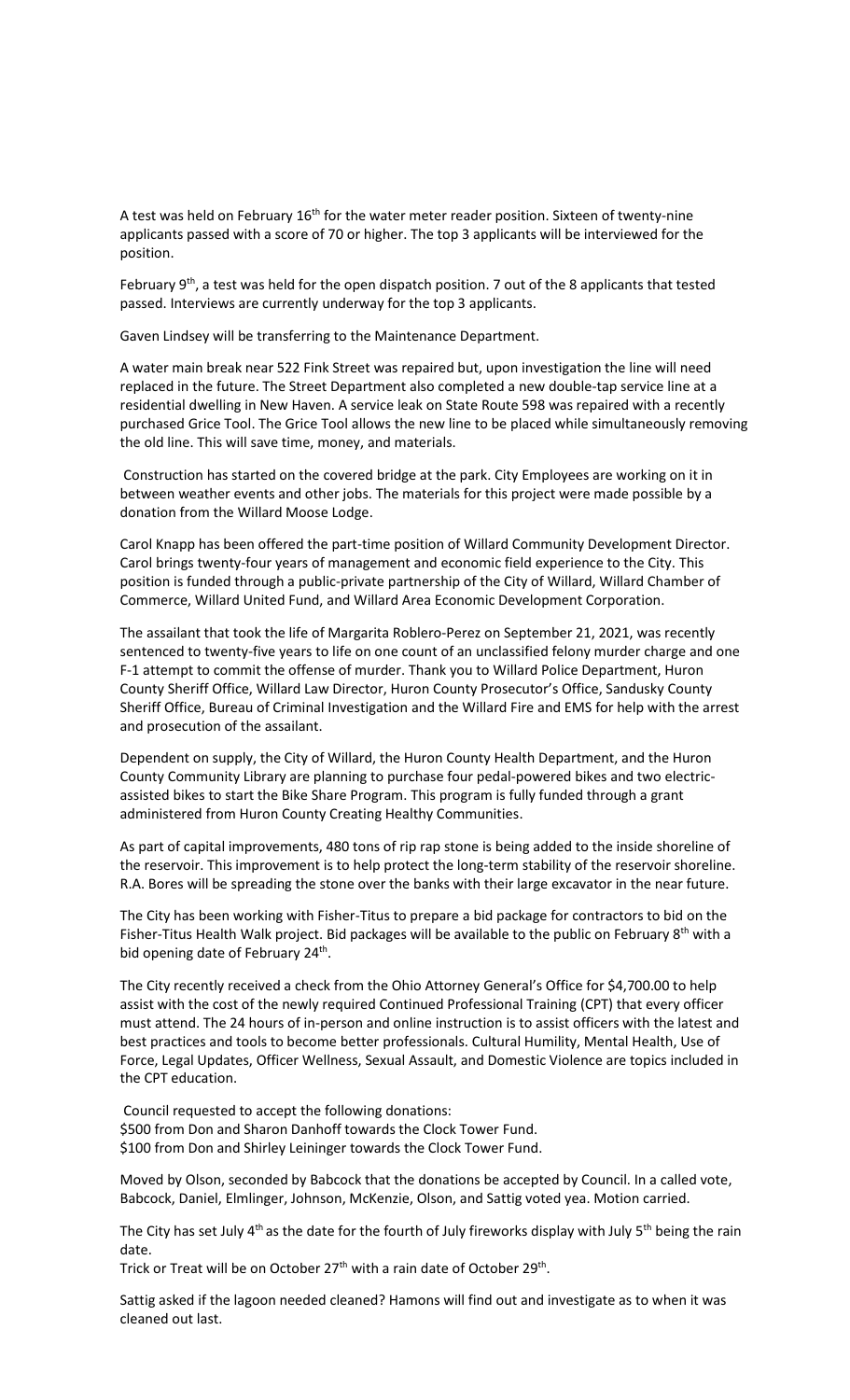A test was held on February 16<sup>th</sup> for the water meter reader position. Sixteen of twenty-nine applicants passed with a score of 70 or higher. The top 3 applicants will be interviewed for the position.

February  $9<sup>th</sup>$ , a test was held for the open dispatch position. 7 out of the 8 applicants that tested passed. Interviews are currently underway for the top 3 applicants.

Gaven Lindsey will be transferring to the Maintenance Department.

A water main break near 522 Fink Street was repaired but, upon investigation the line will need replaced in the future. The Street Department also completed a new double-tap service line at a residential dwelling in New Haven. A service leak on State Route 598 was repaired with a recently purchased Grice Tool. The Grice Tool allows the new line to be placed while simultaneously removing the old line. This will save time, money, and materials.

Construction has started on the covered bridge at the park. City Employees are working on it in between weather events and other jobs. The materials for this project were made possible by a donation from the Willard Moose Lodge.

Carol Knapp has been offered the part-time position of Willard Community Development Director. Carol brings twenty-four years of management and economic field experience to the City. This position is funded through a public-private partnership of the City of Willard, Willard Chamber of Commerce, Willard United Fund, and Willard Area Economic Development Corporation.

The assailant that took the life of Margarita Roblero-Perez on September 21, 2021, was recently sentenced to twenty-five years to life on one count of an unclassified felony murder charge and one F-1 attempt to commit the offense of murder. Thank you to Willard Police Department, Huron County Sheriff Office, Willard Law Director, Huron County Prosecutor's Office, Sandusky County Sheriff Office, Bureau of Criminal Investigation and the Willard Fire and EMS for help with the arrest and prosecution of the assailant.

Dependent on supply, the City of Willard, the Huron County Health Department, and the Huron County Community Library are planning to purchase four pedal-powered bikes and two electricassisted bikes to start the Bike Share Program. This program is fully funded through a grant administered from Huron County Creating Healthy Communities.

As part of capital improvements, 480 tons of rip rap stone is being added to the inside shoreline of the reservoir. This improvement is to help protect the long-term stability of the reservoir shoreline. R.A. Bores will be spreading the stone over the banks with their large excavator in the near future.

The City has been working with Fisher-Titus to prepare a bid package for contractors to bid on the Fisher-Titus Health Walk project. Bid packages will be available to the public on February 8<sup>th</sup> with a bid opening date of February 24<sup>th</sup>.

The City recently received a check from the Ohio Attorney General's Office for \$4,700.00 to help assist with the cost of the newly required Continued Professional Training (CPT) that every officer must attend. The 24 hours of in-person and online instruction is to assist officers with the latest and best practices and tools to become better professionals. Cultural Humility, Mental Health, Use of Force, Legal Updates, Officer Wellness, Sexual Assault, and Domestic Violence are topics included in the CPT education.

Council requested to accept the following donations: \$500 from Don and Sharon Danhoff towards the Clock Tower Fund. \$100 from Don and Shirley Leininger towards the Clock Tower Fund.

Moved by Olson, seconded by Babcock that the donations be accepted by Council. In a called vote, Babcock, Daniel, Elmlinger, Johnson, McKenzie, Olson, and Sattig voted yea. Motion carried.

The City has set July  $4<sup>th</sup>$  as the date for the fourth of July fireworks display with July 5<sup>th</sup> being the rain date.

Trick or Treat will be on October 27<sup>th</sup> with a rain date of October 29<sup>th</sup>.

Sattig asked if the lagoon needed cleaned? Hamons will find out and investigate as to when it was cleaned out last.